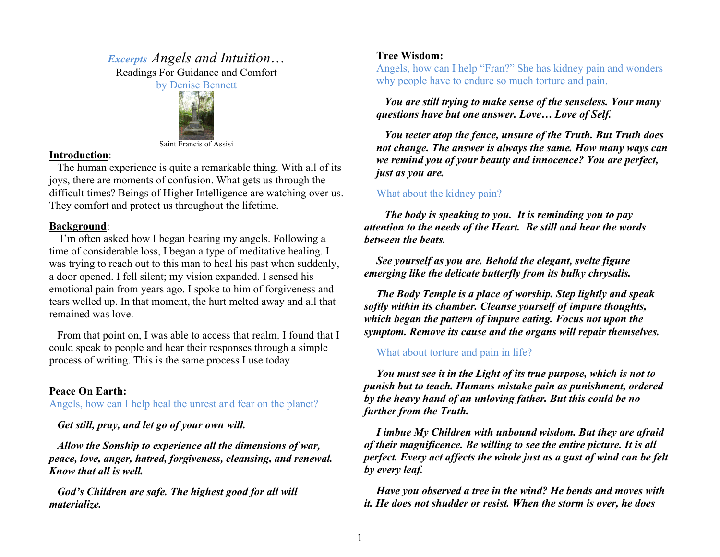## *Excerpts Angels and Intuition*… Readings For Guidance and Comfort





#### **Introduction**:

 The human experience is quite a remarkable thing. With all of its joys, there are moments of confusion. What gets us through the difficult times? Beings of Higher Intelligence are watching over us. They comfort and protect us throughout the lifetime.

#### **Background**:

 I'm often asked how I began hearing my angels. Following a time of considerable loss, I began a type of meditative healing. I was trying to reach out to this man to heal his past when suddenly, a door opened. I fell silent; my vision expanded. I sensed his emotional pain from years ago. I spoke to him of forgiveness and tears welled up. In that moment, the hurt melted away and all that remained was love.

 From that point on, I was able to access that realm. I found that I could speak to people and hear their responses through a simple process of writing. This is the same process I use today

## **Peace On Earth:**

Angels, how can I help heal the unrest and fear on the planet?

## *Get still, pray, and let go of your own will.*

 *Allow the Sonship to experience all the dimensions of war, peace, love, anger, hatred, forgiveness, cleansing, and renewal. Know that all is well.* 

 *God's Children are safe. The highest good for all will materialize.*

## **Tree Wisdom:**

Angels, how can I help "Fran?" She has kidney pain and wonders why people have to endure so much torture and pain.

### *You are still trying to make sense of the senseless. Your many questions have but one answer. Love… Love of Self.*

 *You teeter atop the fence, unsure of the Truth. But Truth does not change. The answer is always the same. How many ways can we remind you of your beauty and innocence? You are perfect, just as you are.* 

# What about the kidney pain?

 *The body is speaking to you. It is reminding you to pay attention to the needs of the Heart. Be still and hear the words between the beats.* 

*See yourself as you are. Behold the elegant, svelte figure emerging like the delicate butterfly from its bulky chrysalis.* 

*The Body Temple is a place of worship. Step lightly and speak softly within its chamber. Cleanse yourself of impure thoughts, which began the pattern of impure eating. Focus not upon the symptom. Remove its cause and the organs will repair themselves.* 

## What about torture and pain in life?

*You must see it in the Light of its true purpose, which is not to punish but to teach. Humans mistake pain as punishment, ordered by the heavy hand of an unloving father. But this could be no further from the Truth.* 

*I imbue My Children with unbound wisdom. But they are afraid of their magnificence. Be willing to see the entire picture. It is all perfect. Every act affects the whole just as a gust of wind can be felt by every leaf.* 

*Have you observed a tree in the wind? He bends and moves with it. He does not shudder or resist. When the storm is over, he does*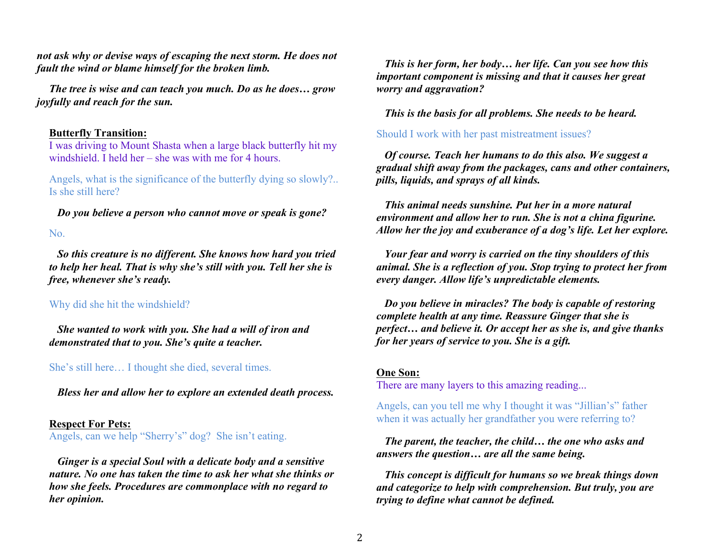*not ask why or devise ways of escaping the next storm. He does not fault the wind or blame himself for the broken limb.* 

*The tree is wise and can teach you much. Do as he does… grow joyfully and reach for the sun.* 

#### **Butterfly Transition:**

I was driving to Mount Shasta when a large black butterfly hit my windshield. I held her – she was with me for 4 hours.

Angels, what is the significance of the butterfly dying so slowly?.. Is she still here?

 *Do you believe a person who cannot move or speak is gone?*

No.

 *So this creature is no different. She knows how hard you tried to help her heal. That is why she's still with you. Tell her she is free, whenever she's ready.*

#### Why did she hit the windshield?

 *She wanted to work with you. She had a will of iron and demonstrated that to you. She's quite a teacher.*

#### She's still here… I thought she died, several times.

 *Bless her and allow her to explore an extended death process.*

## **Respect For Pets:** Angels, can we help "Sherry's" dog? She isn't eating.

 *Ginger is a special Soul with a delicate body and a sensitive nature. No one has taken the time to ask her what she thinks or how she feels. Procedures are commonplace with no regard to her opinion.* 

 *This is her form, her body… her life. Can you see how this important component is missing and that it causes her great worry and aggravation?*

 *This is the basis for all problems. She needs to be heard.*

## Should I work with her past mistreatment issues?

 *Of course. Teach her humans to do this also. We suggest a gradual shift away from the packages, cans and other containers, pills, liquids, and sprays of all kinds.* 

 *This animal needs sunshine. Put her in a more natural environment and allow her to run. She is not a china figurine. Allow her the joy and exuberance of a dog's life. Let her explore.* 

 *Your fear and worry is carried on the tiny shoulders of this animal. She is a reflection of you. Stop trying to protect her from every danger. Allow life's unpredictable elements.*

 *Do you believe in miracles? The body is capable of restoring complete health at any time. Reassure Ginger that she is perfect… and believe it. Or accept her as she is, and give thanks for her years of service to you. She is a gift.*

#### **One Son:**

There are many layers to this amazing reading...

Angels, can you tell me why I thought it was "Jillian's" father when it was actually her grandfather you were referring to?

 *The parent, the teacher, the child… the one who asks and answers the question… are all the same being.* 

 *This concept is difficult for humans so we break things down and categorize to help with comprehension. But truly, you are trying to define what cannot be defined.*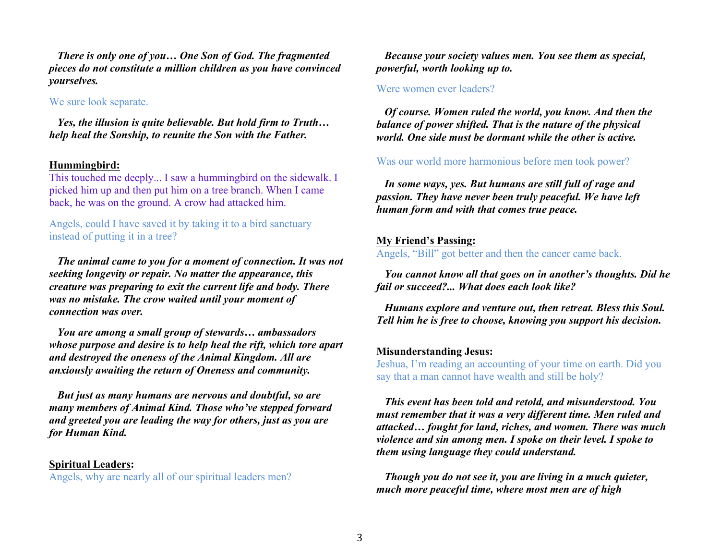*There is only one of you… One Son of God. The fragmented pieces do not constitute a million children as you have convinced yourselves.*

#### We sure look separate.

 *Yes, the illusion is quite believable. But hold firm to Truth… help heal the Sonship, to reunite the Son with the Father.*

#### **Hummingbird:**

This touched me deeply... I saw a hummingbird on the sidewalk. I picked him up and then put him on a tree branch. When I came back, he was on the ground. A crow had attacked him.

Angels, could I have saved it by taking it to a bird sanctuary instead of putting it in a tree?

 *The animal came to you for a moment of connection. It was not seeking longevity or repair. No matter the appearance, this creature was preparing to exit the current life and body. There was no mistake. The crow waited until your moment of connection was over.*

 *You are among a small group of stewards… ambassadors whose purpose and desire is to help heal the rift, which tore apart and destroyed the oneness of the Animal Kingdom. All are anxiously awaiting the return of Oneness and community.* 

 *But just as many humans are nervous and doubtful, so are many members of Animal Kind. Those who've stepped forward and greeted you are leading the way for others, just as you are for Human Kind.* 

## **Spiritual Leaders:**

Angels, why are nearly all of our spiritual leaders men?

 *Because your society values men. You see them as special, powerful, worth looking up to.*

# Were women ever leaders?

 *Of course. Women ruled the world, you know. And then the balance of power shifted. That is the nature of the physical world. One side must be dormant while the other is active.*

# Was our world more harmonious before men took power?

 *In some ways, yes. But humans are still full of rage and passion. They have never been truly peaceful. We have left human form and with that comes true peace.*

# **My Friend's Passing:**

Angels, "Bill" got better and then the cancer came back.

 *You cannot know all that goes on in another's thoughts. Did he fail or succeed?... What does each look like?* 

 *Humans explore and venture out, then retreat. Bless this Soul. Tell him he is free to choose, knowing you support his decision.*

## **Misunderstanding Jesus:**

Jeshua, I'm reading an accounting of your time on earth. Did you say that a man cannot have wealth and still be holy?

 *This event has been told and retold, and misunderstood. You must remember that it was a very different time. Men ruled and attacked… fought for land, riches, and women. There was much violence and sin among men. I spoke on their level. I spoke to them using language they could understand.* 

 *Though you do not see it, you are living in a much quieter, much more peaceful time, where most men are of high*